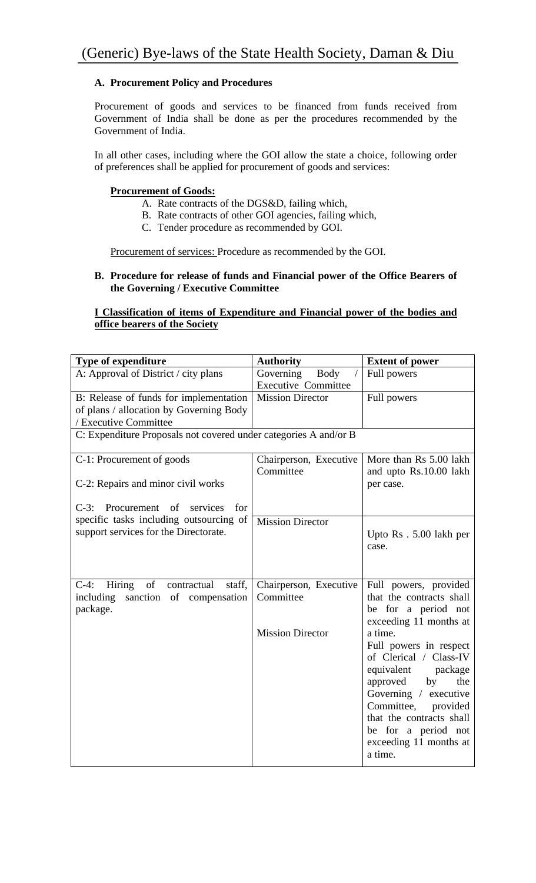## **A. Procurement Policy and Procedures**

Procurement of goods and services to be financed from funds received from Government of India shall be done as per the procedures recommended by the Government of India.

In all other cases, including where the GOI allow the state a choice, following order of preferences shall be applied for procurement of goods and services:

### **Procurement of Goods:**

- A. Rate contracts of the DGS&D, failing which,
- B. Rate contracts of other GOI agencies, failing which,
- C. Tender procedure as recommended by GOI.

Procurement of services: Procedure as recommended by the GOI.

### **B. Procedure for release of funds and Financial power of the Office Bearers of the Governing / Executive Committee**

### **I Classification of items of Expenditure and Financial power of the bodies and office bearers of the Society**

| <b>Type of expenditure</b>                                       | <b>Authority</b>           | <b>Extent of power</b>                                                                                                                   |  |  |
|------------------------------------------------------------------|----------------------------|------------------------------------------------------------------------------------------------------------------------------------------|--|--|
| A: Approval of District / city plans                             | Governing<br>Body          | Full powers                                                                                                                              |  |  |
|                                                                  | <b>Executive Committee</b> |                                                                                                                                          |  |  |
| B: Release of funds for implementation                           | <b>Mission Director</b>    | Full powers                                                                                                                              |  |  |
| of plans / allocation by Governing Body                          |                            |                                                                                                                                          |  |  |
| / Executive Committee                                            |                            |                                                                                                                                          |  |  |
| C: Expenditure Proposals not covered under categories A and/or B |                            |                                                                                                                                          |  |  |
| C-1: Procurement of goods                                        | Chairperson, Executive     | More than Rs 5.00 lakh                                                                                                                   |  |  |
|                                                                  | Committee                  | and upto Rs.10.00 lakh                                                                                                                   |  |  |
| C-2: Repairs and minor civil works                               |                            | per case.                                                                                                                                |  |  |
|                                                                  |                            |                                                                                                                                          |  |  |
| C-3: Procurement of<br>services<br>for                           |                            |                                                                                                                                          |  |  |
| specific tasks including outsourcing of                          | <b>Mission Director</b>    |                                                                                                                                          |  |  |
| support services for the Directorate.                            |                            | Upto Rs. 5.00 lakh per                                                                                                                   |  |  |
|                                                                  |                            | case.                                                                                                                                    |  |  |
|                                                                  |                            |                                                                                                                                          |  |  |
|                                                                  |                            |                                                                                                                                          |  |  |
| Hiring of<br>$C-4$ :<br>contractual<br>staff,                    | Chairperson, Executive     | Full powers, provided                                                                                                                    |  |  |
| including<br>sanction of compensation                            | Committee                  | that the contracts shall                                                                                                                 |  |  |
| package.                                                         |                            | be for a period not                                                                                                                      |  |  |
|                                                                  |                            | exceeding 11 months at                                                                                                                   |  |  |
|                                                                  | <b>Mission Director</b>    | a time.                                                                                                                                  |  |  |
|                                                                  |                            | Full powers in respect                                                                                                                   |  |  |
|                                                                  |                            |                                                                                                                                          |  |  |
|                                                                  |                            | equivalent<br>package                                                                                                                    |  |  |
|                                                                  |                            | approved<br>by<br>the                                                                                                                    |  |  |
|                                                                  |                            | Governing / executive                                                                                                                    |  |  |
|                                                                  |                            |                                                                                                                                          |  |  |
|                                                                  |                            |                                                                                                                                          |  |  |
|                                                                  |                            |                                                                                                                                          |  |  |
|                                                                  |                            |                                                                                                                                          |  |  |
|                                                                  |                            |                                                                                                                                          |  |  |
|                                                                  |                            | of Clerical / Class-IV<br>Committee,<br>provided<br>that the contracts shall<br>be for a period not<br>exceeding 11 months at<br>a time. |  |  |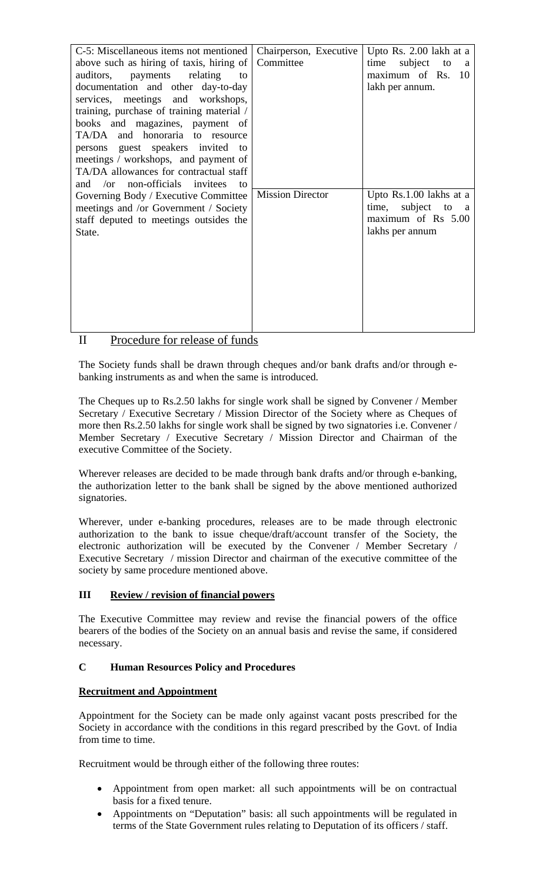| C-5: Miscellaneous items not mentioned             | Chairperson, Executive  | Upto Rs. 2.00 lakh at a          |
|----------------------------------------------------|-------------------------|----------------------------------|
| above such as hiring of taxis, hiring of           | Committee               | subject<br>time<br>to<br>a       |
| relating<br>auditors, payments<br>to               |                         | maximum of Rs. 10                |
| documentation and other day-to-day                 |                         | lakh per annum.                  |
| services, meetings and workshops,                  |                         |                                  |
| training, purchase of training material /          |                         |                                  |
| books and magazines, payment of                    |                         |                                  |
| TA/DA and honoraria to resource                    |                         |                                  |
|                                                    |                         |                                  |
| persons guest speakers invited to                  |                         |                                  |
| meetings / workshops, and payment of               |                         |                                  |
| TA/DA allowances for contractual staff             |                         |                                  |
| /or non-officials invitees<br>and<br>$\mathsf{to}$ |                         |                                  |
| Governing Body / Executive Committee               | <b>Mission Director</b> | Upto Rs.1.00 lakhs at a          |
| meetings and /or Government / Society              |                         | time, subject to<br><sub>a</sub> |
| staff deputed to meetings outsides the             |                         | maximum of Rs 5.00               |
| State.                                             |                         | lakhs per annum                  |
|                                                    |                         |                                  |
|                                                    |                         |                                  |
|                                                    |                         |                                  |
|                                                    |                         |                                  |
|                                                    |                         |                                  |
|                                                    |                         |                                  |
|                                                    |                         |                                  |
|                                                    |                         |                                  |
|                                                    |                         |                                  |

# II Procedure for release of funds

The Society funds shall be drawn through cheques and/or bank drafts and/or through ebanking instruments as and when the same is introduced.

The Cheques up to Rs.2.50 lakhs for single work shall be signed by Convener / Member Secretary / Executive Secretary / Mission Director of the Society where as Cheques of more then Rs.2.50 lakhs for single work shall be signed by two signatories i.e. Convener / Member Secretary / Executive Secretary / Mission Director and Chairman of the executive Committee of the Society.

Wherever releases are decided to be made through bank drafts and/or through e-banking, the authorization letter to the bank shall be signed by the above mentioned authorized signatories.

Wherever, under e-banking procedures, releases are to be made through electronic authorization to the bank to issue cheque/draft/account transfer of the Society, the electronic authorization will be executed by the Convener / Member Secretary / Executive Secretary / mission Director and chairman of the executive committee of the society by same procedure mentioned above.

## **III Review / revision of financial powers**

The Executive Committee may review and revise the financial powers of the office bearers of the bodies of the Society on an annual basis and revise the same, if considered necessary.

## **C Human Resources Policy and Procedures**

## **Recruitment and Appointment**

Appointment for the Society can be made only against vacant posts prescribed for the Society in accordance with the conditions in this regard prescribed by the Govt. of India from time to time.

Recruitment would be through either of the following three routes:

- Appointment from open market: all such appointments will be on contractual basis for a fixed tenure.
- Appointments on "Deputation" basis: all such appointments will be regulated in terms of the State Government rules relating to Deputation of its officers / staff.